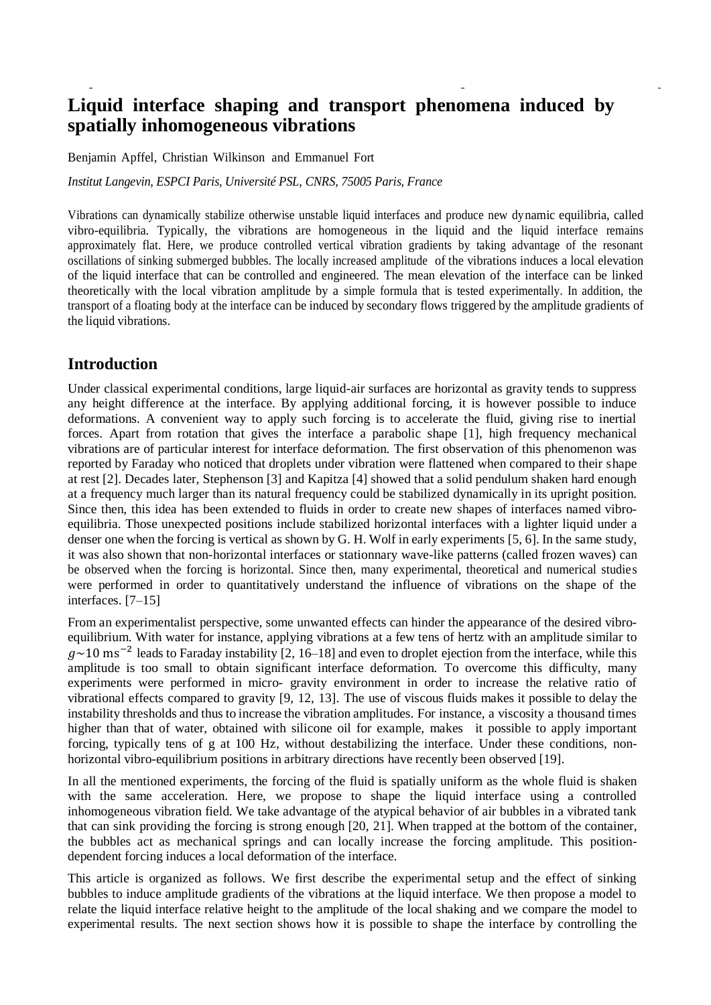# **Liquid interface shaping and transport phenomena induced by spatially inhomogeneous vibrations**

Benjamin Apffel, Christian Wilkinson and Emmanuel Fort

*Institut Langevin, ESPCI Paris, Université PSL, CNRS, 75005 Paris, France* 

Vibrations can dynamically stabilize otherwise unstable liquid interfaces and produce new dynamic equilibria, called vibro-equilibria. Typically, the vibrations are homogeneous in the liquid and the liquid interface remains approximately flat. Here, we produce controlled vertical vibration gradients by taking advantage of the resonant oscillations of sinking submerged bubbles. The locally increased amplitude of the vibrations induces a local elevation of the liquid interface that can be controlled and engineered. The mean elevation of the interface can be linked theoretically with the local vibration amplitude by a simple formula that is tested experimentally. In addition, the transport of a floating body at the interface can be induced by secondary flows triggered by the amplitude gradients of the liquid vibrations.

#### **Introduction**

Under classical experimental conditions, large liquid-air surfaces are horizontal as gravity tends to suppress any height difference at the interface. By applying additional forcing, it is however possible to induce deformations. A convenient way to apply such forcing is to accelerate the fluid, giving rise to inertial forces. Apart from rotation that gives the interface a parabolic shape [1], high frequency mechanical vibrations are of particular interest for interface deformation. The first observation of this phenomenon was reported by Faraday who noticed that droplets under vibration were flattened when compared to their shape at rest [2]. Decades later, Stephenson [3] and Kapitza [4] showed that a solid pendulum shaken hard enough at a frequency much larger than its natural frequency could be stabilized dynamically in its upright position. Since then, this idea has been extended to fluids in order to create new shapes of interfaces named vibroequilibria. Those unexpected positions include stabilized horizontal interfaces with a lighter liquid under a denser one when the forcing is vertical as shown by G. H. Wolf in early experiments [5, 6]. In the same study, it was also shown that non-horizontal interfaces or stationnary wave-like patterns (called frozen waves) can be observed when the forcing is horizontal. Since then, many experimental, theoretical and numerical studies were performed in order to quantitatively understand the influence of vibrations on the shape of the interfaces. [7–15]

From an experimentalist perspective, some unwanted effects can hinder the appearance of the desired vibroequilibrium. With water for instance, applying vibrations at a few tens of hertz with an amplitude similar to  $g \sim 10$  ms<sup>-2</sup> leads to Faraday instability [2, 16–18] and even to droplet ejection from the interface, while this amplitude is too small to obtain significant interface deformation. To overcome this difficulty, many experiments were performed in micro- gravity environment in order to increase the relative ratio of vibrational effects compared to gravity [9, 12, 13]. The use of viscous fluids makes it possible to delay the instability thresholds and thus to increase the vibration amplitudes. For instance, a viscosity a thousand times higher than that of water, obtained with silicone oil for example, makes it possible to apply important forcing, typically tens of g at 100 Hz, without destabilizing the interface. Under these conditions, nonhorizontal vibro-equilibrium positions in arbitrary directions have recently been observed [19].

In all the mentioned experiments, the forcing of the fluid is spatially uniform as the whole fluid is shaken with the same acceleration. Here, we propose to shape the liquid interface using a controlled inhomogeneous vibration field. We take advantage of the atypical behavior of air bubbles in a vibrated tank that can sink providing the forcing is strong enough [20, 21]. When trapped at the bottom of the container, the bubbles act as mechanical springs and can locally increase the forcing amplitude. This positiondependent forcing induces a local deformation of the interface.

This article is organized as follows. We first describe the experimental setup and the effect of sinking bubbles to induce amplitude gradients of the vibrations at the liquid interface. We then propose a model to relate the liquid interface relative height to the amplitude of the local shaking and we compare the model to experimental results. The next section shows how it is possible to shape the interface by controlling the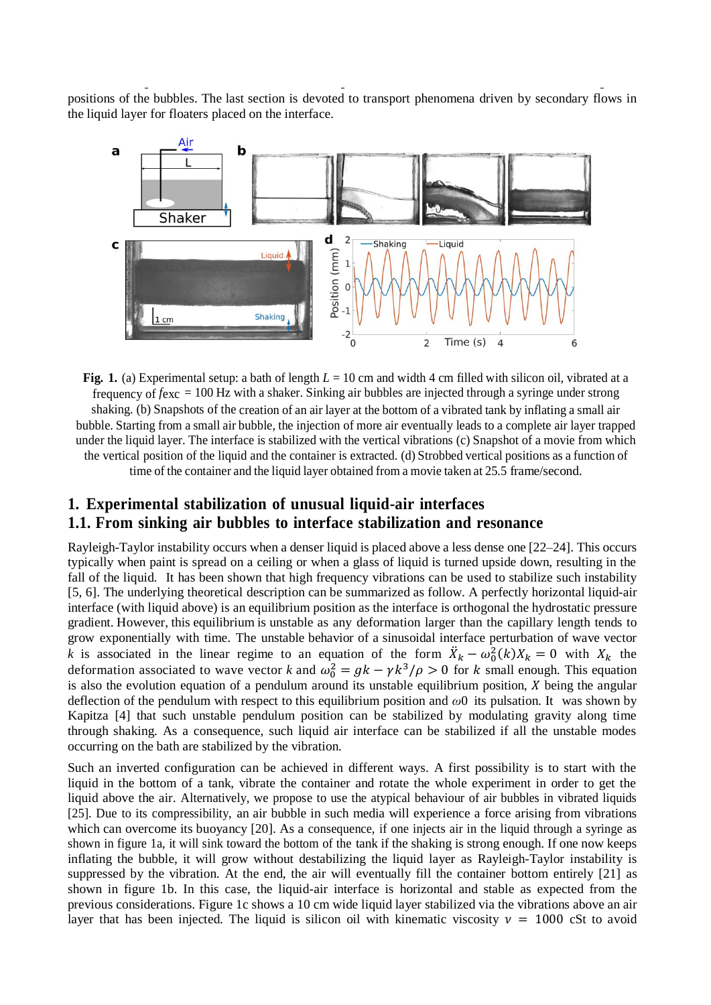positions of the bubbles. The last section is devoted to transport phenomena driven by secondary flows in the liquid layer for floaters placed on the interface.



**Fig. 1.** (a) Experimental setup: a bath of length *L* = 10 cm and width 4 cm filled with silicon oil, vibrated at a frequency of *f*exc = 100 Hz with a shaker. Sinking air bubbles are injected through a syringe under strong shaking. (b) Snapshots of the creation of an air layer at the bottom of a vibrated tank by inflating a small air bubble. Starting from a small air bubble, the injection of more air eventually leads to a complete air layer trapped under the liquid layer. The interface is stabilized with the vertical vibrations (c) Snapshot of a movie from which the vertical position of the liquid and the container is extracted. (d) Strobbed vertical positions as a function of time of the container and the liquid layer obtained from a movie taken at 25.5 frame/second.

## **1. Experimental stabilization of unusual liquid-air interfaces 1.1. From sinking air bubbles to interface stabilization and resonance**

Rayleigh-Taylor instability occurs when a denser liquid is placed above a less dense one [22–24]. This occurs typically when paint is spread on a ceiling or when a glass of liquid is turned upside down, resulting in the fall of the liquid. It has been shown that high frequency vibrations can be used to stabilize such instability [5, 6]. The underlying theoretical description can be summarized as follow. A perfectly horizontal liquid-air interface (with liquid above) is an equilibrium position as the interface is orthogonal the hydrostatic pressure gradient. However, this equilibrium is unstable as any deformation larger than the capillary length tends to grow exponentially with time. The unstable behavior of a sinusoidal interface perturbation of wave vector *k* is associated in the linear regime to an equation of the form  $\ddot{X}_k - \omega_0^2(k)X_k = 0$  with  $X_k$  the deformation associated to wave vector *k* and  $\omega_0^2 = g k - \gamma k^3 / \rho > 0$  for *k* small enough. This equation is also the evolution equation of a pendulum around its unstable equilibrium position,  $X$  being the angular deflection of the pendulum with respect to this equilibrium position and *ω*0 its pulsation. It was shown by Kapitza [4] that such unstable pendulum position can be stabilized by modulating gravity along time through shaking. As a consequence, such liquid air interface can be stabilized if all the unstable modes occurring on the bath are stabilized by the vibration.

Such an inverted configuration can be achieved in different ways. A first possibility is to start with the liquid in the bottom of a tank, vibrate the container and rotate the whole experiment in order to get the liquid above the air. Alternatively, we propose to use the atypical behaviour of air bubbles in vibrated liquids [25]. Due to its compressibility, an air bubble in such media will experience a force arising from vibrations which can overcome its buoyancy [20]. As a consequence, if one injects air in the liquid through a syringe as shown in figure 1a, it will sink toward the bottom of the tank if the shaking is strong enough. If one now keeps inflating the bubble, it will grow without destabilizing the liquid layer as Rayleigh-Taylor instability is suppressed by the vibration. At the end, the air will eventually fill the container bottom entirely [21] as shown in figure 1b. In this case, the liquid-air interface is horizontal and stable as expected from the previous considerations. Figure 1c shows a 10 cm wide liquid layer stabilized via the vibrations above an air layer that has been injected. The liquid is silicon oil with kinematic viscosity  $v = 1000$  cSt to avoid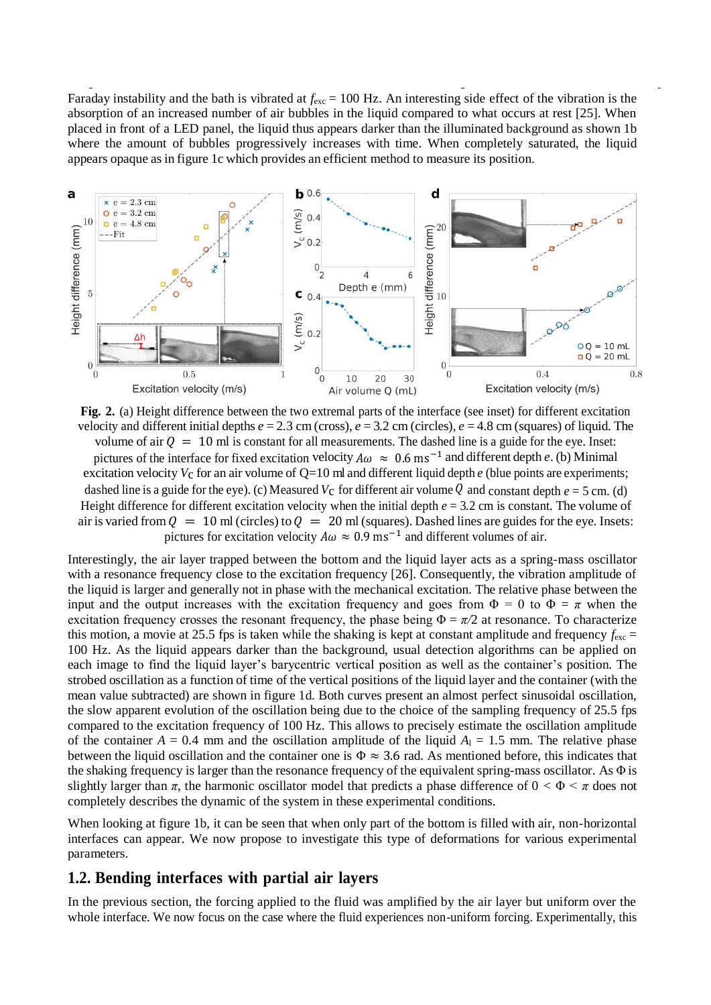Faraday instability and the bath is vibrated at  $f_{\text{exc}} = 100$  Hz. An interesting side effect of the vibration is the absorption of an increased number of air bubbles in the liquid compared to what occurs at rest [25]. When placed in front of a LED panel, the liquid thus appears darker than the illuminated background as shown 1b where the amount of bubbles progressively increases with time. When completely saturated, the liquid appears opaque as in figure 1c which provides an efficient method to measure its position.



**Fig. 2.** (a) Height difference between the two extremal parts of the interface (see inset) for different excitation velocity and different initial depths  $e = 2.3$  cm (cross),  $e = 3.2$  cm (circles),  $e = 4.8$  cm (squares) of liquid. The volume of air  $Q = 10$  ml is constant for all measurements. The dashed line is a guide for the eye. Inset: pictures of the interface for fixed excitation velocity  $A\omega \approx 0.6$  ms<sup>-1</sup> and different depth *e*. (b) Minimal excitation velocity  $V_c$  for an air volume of  $Q=10$  ml and different liquid depth  $e$  (blue points are experiments; dashed line is a guide for the eye). (c) Measured  $V_c$  for different air volume Q and constant depth  $e = 5$  cm. (d) Height difference for different excitation velocity when the initial depth  $e = 3.2$  cm is constant. The volume of air is varied from  $Q = 10$  ml (circles) to  $Q = 20$  ml (squares). Dashed lines are guides for the eye. Insets: pictures for excitation velocity  $A\omega \approx 0.9 \text{ ms}^{-1}$  and different volumes of air.

Interestingly, the air layer trapped between the bottom and the liquid layer acts as a spring-mass oscillator with a resonance frequency close to the excitation frequency [26]. Consequently, the vibration amplitude of the liquid is larger and generally not in phase with the mechanical excitation. The relative phase between the input and the output increases with the excitation frequency and goes from  $\Phi = 0$  to  $\Phi = \pi$  when the excitation frequency crosses the resonant frequency, the phase being  $\Phi = \pi/2$  at resonance. To characterize this motion, a movie at 25.5 fps is taken while the shaking is kept at constant amplitude and frequency  $f_{\text{exc}} =$ 100 Hz. As the liquid appears darker than the background, usual detection algorithms can be applied on each image to find the liquid layer's barycentric vertical position as well as the container's position. The strobed oscillation as a function of time of the vertical positions of the liquid layer and the container (with the mean value subtracted) are shown in figure 1d. Both curves present an almost perfect sinusoidal oscillation, the slow apparent evolution of the oscillation being due to the choice of the sampling frequency of 25.5 fps compared to the excitation frequency of 100 Hz. This allows to precisely estimate the oscillation amplitude of the container  $A = 0.4$  mm and the oscillation amplitude of the liquid  $A<sub>1</sub> = 1.5$  mm. The relative phase between the liquid oscillation and the container one is  $\Phi \approx 3.6$  rad. As mentioned before, this indicates that the shaking frequency is larger than the resonance frequency of the equivalent spring-mass oscillator. As Φ is slightly larger than  $\pi$ , the harmonic oscillator model that predicts a phase difference of  $0 < \Phi < \pi$  does not completely describes the dynamic of the system in these experimental conditions.

When looking at figure 1b, it can be seen that when only part of the bottom is filled with air, non-horizontal interfaces can appear. We now propose to investigate this type of deformations for various experimental parameters.

#### **1.2. Bending interfaces with partial air layers**

In the previous section, the forcing applied to the fluid was amplified by the air layer but uniform over the whole interface. We now focus on the case where the fluid experiences non-uniform forcing. Experimentally, this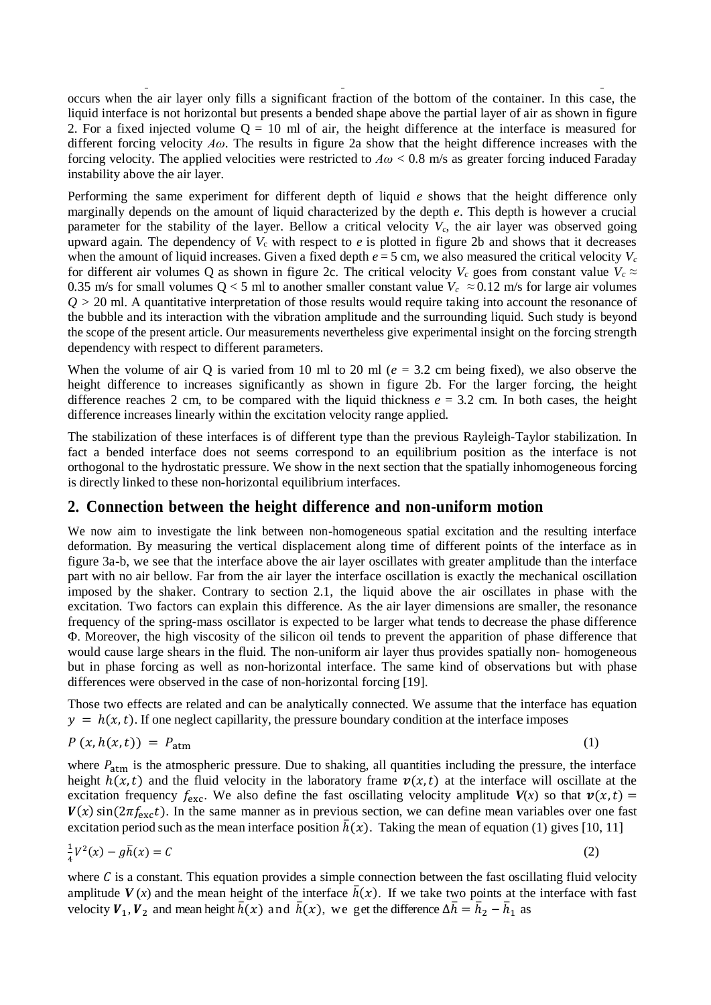occurs when the air layer only fills a significant fraction of the bottom of the container. In this case, the liquid interface is not horizontal but presents a bended shape above the partial layer of air as shown in figure 2. For a fixed injected volume  $Q = 10$  ml of air, the height difference at the interface is measured for different forcing velocity *Aω*. The results in figure 2a show that the height difference increases with the forcing velocity. The applied velocities were restricted to  $A\omega < 0.8$  m/s as greater forcing induced Faraday instability above the air layer.

Performing the same experiment for different depth of liquid *e* shows that the height difference only marginally depends on the amount of liquid characterized by the depth *e*. This depth is however a crucial parameter for the stability of the layer. Bellow a critical velocity  $V_c$ , the air layer was observed going upward again. The dependency of  $V_c$  with respect to  $e$  is plotted in figure 2b and shows that it decreases when the amount of liquid increases. Given a fixed depth  $e = 5$  cm, we also measured the critical velocity  $V_c$ for different air volumes Q as shown in figure 2c. The critical velocity  $V_c$  goes from constant value  $V_c \approx$ 0.35 m/s for small volumes  $Q < 5$  ml to another smaller constant value  $V_c \approx 0.12$  m/s for large air volumes *Q >* 20 ml. A quantitative interpretation of those results would require taking into account the resonance of the bubble and its interaction with the vibration amplitude and the surrounding liquid. Such study is beyond the scope of the present article. Our measurements nevertheless give experimental insight on the forcing strength dependency with respect to different parameters.

When the volume of air Q is varied from 10 ml to 20 ml ( $e = 3.2$  cm being fixed), we also observe the height difference to increases significantly as shown in figure 2b. For the larger forcing, the height difference reaches 2 cm, to be compared with the liquid thickness  $e = 3.2$  cm. In both cases, the height difference increases linearly within the excitation velocity range applied.

The stabilization of these interfaces is of different type than the previous Rayleigh-Taylor stabilization. In fact a bended interface does not seems correspond to an equilibrium position as the interface is not orthogonal to the hydrostatic pressure. We show in the next section that the spatially inhomogeneous forcing is directly linked to these non-horizontal equilibrium interfaces.

#### **2. Connection between the height difference and non-uniform motion**

We now aim to investigate the link between non-homogeneous spatial excitation and the resulting interface deformation. By measuring the vertical displacement along time of different points of the interface as in figure 3a-b, we see that the interface above the air layer oscillates with greater amplitude than the interface part with no air bellow. Far from the air layer the interface oscillation is exactly the mechanical oscillation imposed by the shaker. Contrary to section 2.1, the liquid above the air oscillates in phase with the excitation. Two factors can explain this difference. As the air layer dimensions are smaller, the resonance frequency of the spring-mass oscillator is expected to be larger what tends to decrease the phase difference Φ. Moreover, the high viscosity of the silicon oil tends to prevent the apparition of phase difference that would cause large shears in the fluid. The non-uniform air layer thus provides spatially non- homogeneous but in phase forcing as well as non-horizontal interface. The same kind of observations but with phase differences were observed in the case of non-horizontal forcing [19].

Those two effects are related and can be analytically connected. We assume that the interface has equation  $y = h(x, t)$ . If one neglect capillarity, the pressure boundary condition at the interface imposes

$$
P(x, h(x, t)) = P_{\text{atm}} \tag{1}
$$

where  $P_{\text{atm}}$  is the atmospheric pressure. Due to shaking, all quantities including the pressure, the interface height  $h(x,t)$  and the fluid velocity in the laboratory frame  $v(x,t)$  at the interface will oscillate at the excitation frequency  $f_{\text{exc}}$ . We also define the fast oscillating velocity amplitude  $V(x)$  so that  $v(x,t) =$  $V(x)$  sin( $2\pi f_{\text{exc}}(t)$ ). In the same manner as in previous section, we can define mean variables over one fast excitation period such as the mean interface position  $\bar{h}(x)$ . Taking the mean of equation (1) gives [10, 11]

$$
\frac{1}{4}V^2(x) - g\overline{h}(x) = C\tag{2}
$$

where  $C$  is a constant. This equation provides a simple connection between the fast oscillating fluid velocity amplitude  $V(x)$  and the mean height of the interface  $\bar{h}(x)$ . If we take two points at the interface with fast velocity  $V_1$ ,  $V_2$  and mean height  $\bar{h}(x)$  and  $\bar{h}(x)$ , we get the difference  $\Delta \bar{h} = \bar{h}_2 - \bar{h}_1$  as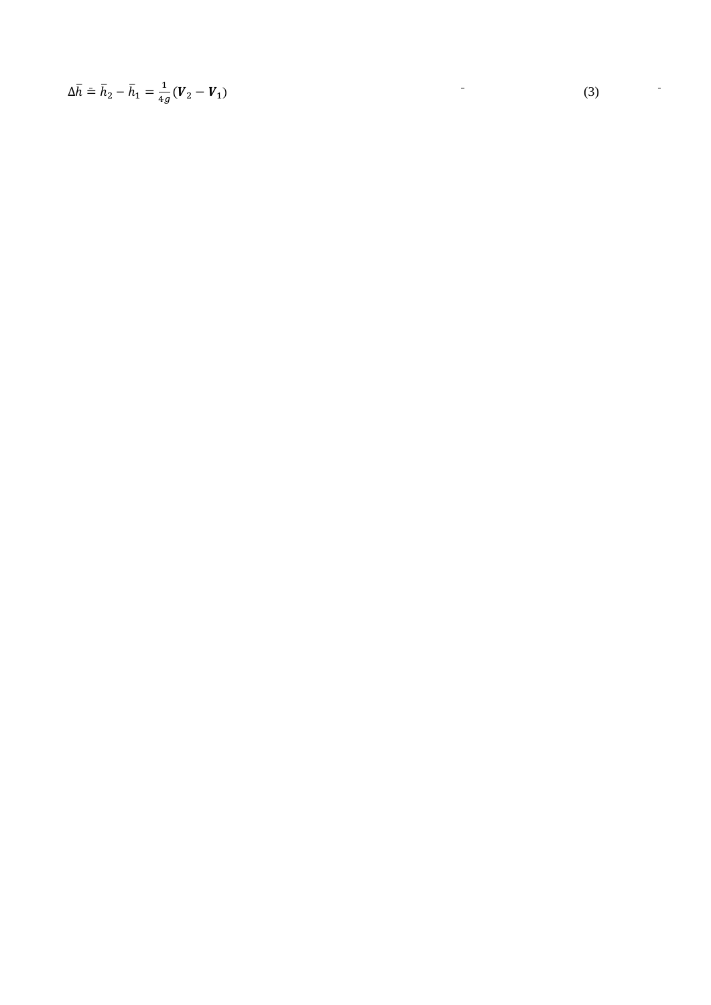$$
\Delta \overline{h} = \overline{h}_2 - \overline{h}_1 = \frac{1}{4g} (V_2 - V_1)
$$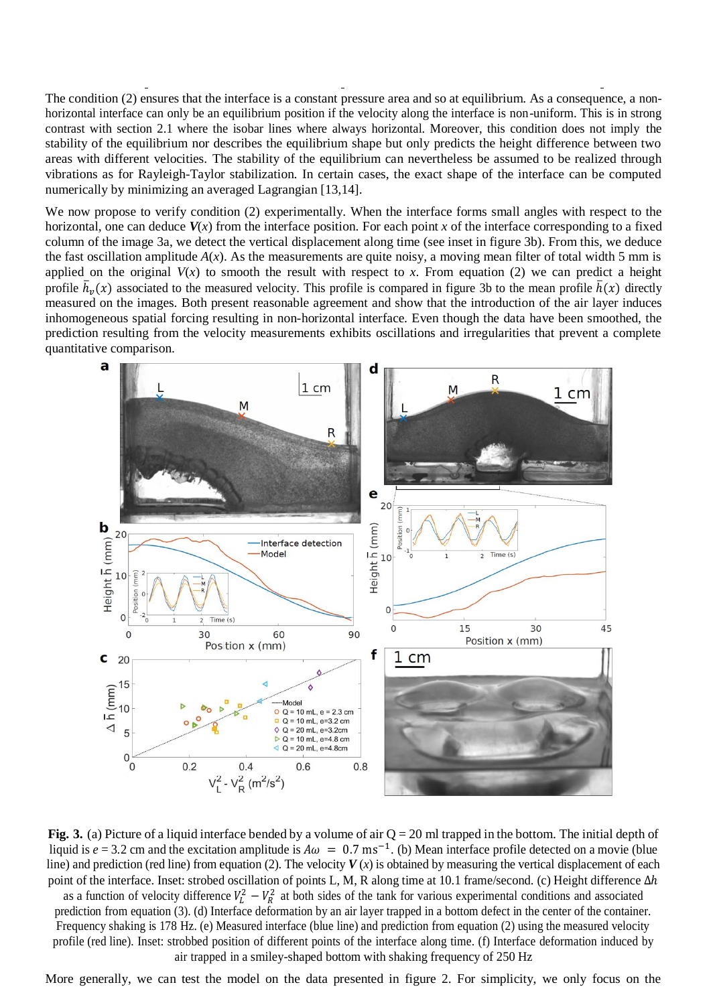The condition (2) ensures that the interface is a constant pressure area and so at equilibrium. As a consequence, a nonhorizontal interface can only be an equilibrium position if the velocity along the interface is non-uniform. This is in strong contrast with section 2.1 where the isobar lines where always horizontal. Moreover, this condition does not imply the stability of the equilibrium nor describes the equilibrium shape but only predicts the height difference between two areas with different velocities. The stability of the equilibrium can nevertheless be assumed to be realized through vibrations as for Rayleigh-Taylor stabilization. In certain cases, the exact shape of the interface can be computed numerically by minimizing an averaged Lagrangian [13,14].

We now propose to verify condition (2) experimentally. When the interface forms small angles with respect to the horizontal, one can deduce  $V(x)$  from the interface position. For each point *x* of the interface corresponding to a fixed column of the image 3a, we detect the vertical displacement along time (see inset in figure 3b). From this, we deduce the fast oscillation amplitude  $A(x)$ . As the measurements are quite noisy, a moving mean filter of total width 5 mm is applied on the original  $V(x)$  to smooth the result with respect to *x*. From equation (2) we can predict a height profile  $\bar{h}_v(x)$  associated to the measured velocity. This profile is compared in figure 3b to the mean profile  $\bar{h}(x)$  directly measured on the images. Both present reasonable agreement and show that the introduction of the air layer induces inhomogeneous spatial forcing resulting in non-horizontal interface. Even though the data have been smoothed, the prediction resulting from the velocity measurements exhibits oscillations and irregularities that prevent a complete quantitative comparison.



**Fig. 3.** (a) Picture of a liquid interface bended by a volume of air Q = 20 ml trapped in the bottom. The initial depth of liquid is  $e = 3.2$  cm and the excitation amplitude is  $A\omega = 0.7$  ms<sup>-1</sup>. (b) Mean interface profile detected on a movie (blue line) and prediction (red line) from equation (2). The velocity  $V(x)$  is obtained by measuring the vertical displacement of each point of the interface. Inset: strobed oscillation of points L, M, R along time at 10.1 frame/second. (c) Height difference Δℎ as a function of velocity difference  $V_L^2 - V_R^2$  at both sides of the tank for various experimental conditions and associated prediction from equation (3). (d) Interface deformation by an air layer trapped in a bottom defect in the center of the container. Frequency shaking is 178 Hz. (e) Measured interface (blue line) and prediction from equation (2) using the measured velocity profile (red line). Inset: strobbed position of different points of the interface along time. (f) Interface deformation induced by air trapped in a smiley-shaped bottom with shaking frequency of 250 Hz

More generally, we can test the model on the data presented in figure 2. For simplicity, we only focus on the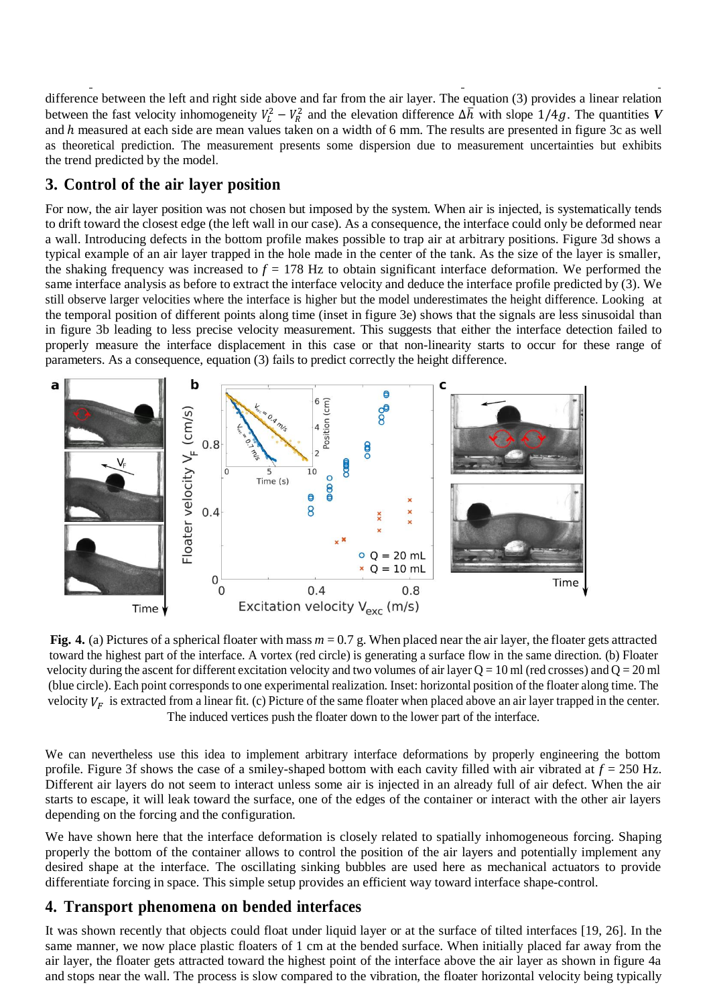difference between the left and right side above and far from the air layer. The equation (3) provides a linear relation between the fast velocity inhomogeneity  $V_L^2 - V_R^2$  and the elevation difference  $\Delta h$  with slope 1/4g. The quantities V and h measured at each side are mean values taken on a width of 6 mm. The results are presented in figure 3c as well as theoretical prediction. The measurement presents some dispersion due to measurement uncertainties but exhibits the trend predicted by the model.

### **3. Control of the air layer position**

For now, the air layer position was not chosen but imposed by the system. When air is injected, is systematically tends to drift toward the closest edge (the left wall in our case). As a consequence, the interface could only be deformed near a wall. Introducing defects in the bottom profile makes possible to trap air at arbitrary positions. Figure 3d shows a typical example of an air layer trapped in the hole made in the center of the tank. As the size of the layer is smaller, the shaking frequency was increased to  $f = 178$  Hz to obtain significant interface deformation. We performed the same interface analysis as before to extract the interface velocity and deduce the interface profile predicted by (3). We still observe larger velocities where the interface is higher but the model underestimates the height difference. Looking at the temporal position of different points along time (inset in figure 3e) shows that the signals are less sinusoidal than in figure 3b leading to less precise velocity measurement. This suggests that either the interface detection failed to properly measure the interface displacement in this case or that non-linearity starts to occur for these range of parameters. As a consequence, equation (3) fails to predict correctly the height difference.



**Fig. 4.** (a) Pictures of a spherical floater with mass  $m = 0.7$  g. When placed near the air layer, the floater gets attracted toward the highest part of the interface. A vortex (red circle) is generating a surface flow in the same direction. (b) Floater velocity during the ascent for different excitation velocity and two volumes of air layer  $Q = 10$  ml (red crosses) and  $Q = 20$  ml (blue circle). Each point corresponds to one experimental realization. Inset: horizontal position of the floater along time. The velocity  $V_F$  is extracted from a linear fit. (c) Picture of the same floater when placed above an air layer trapped in the center. The induced vertices push the floater down to the lower part of the interface.

We can nevertheless use this idea to implement arbitrary interface deformations by properly engineering the bottom profile. Figure 3f shows the case of a smiley-shaped bottom with each cavity filled with air vibrated at *f* = 250 Hz. Different air layers do not seem to interact unless some air is injected in an already full of air defect. When the air starts to escape, it will leak toward the surface, one of the edges of the container or interact with the other air layers depending on the forcing and the configuration.

We have shown here that the interface deformation is closely related to spatially inhomogeneous forcing. Shaping properly the bottom of the container allows to control the position of the air layers and potentially implement any desired shape at the interface. The oscillating sinking bubbles are used here as mechanical actuators to provide differentiate forcing in space. This simple setup provides an efficient way toward interface shape-control.

### **4. Transport phenomena on bended interfaces**

It was shown recently that objects could float under liquid layer or at the surface of tilted interfaces [19, 26]. In the same manner, we now place plastic floaters of 1 cm at the bended surface. When initially placed far away from the air layer, the floater gets attracted toward the highest point of the interface above the air layer as shown in figure 4a and stops near the wall. The process is slow compared to the vibration, the floater horizontal velocity being typically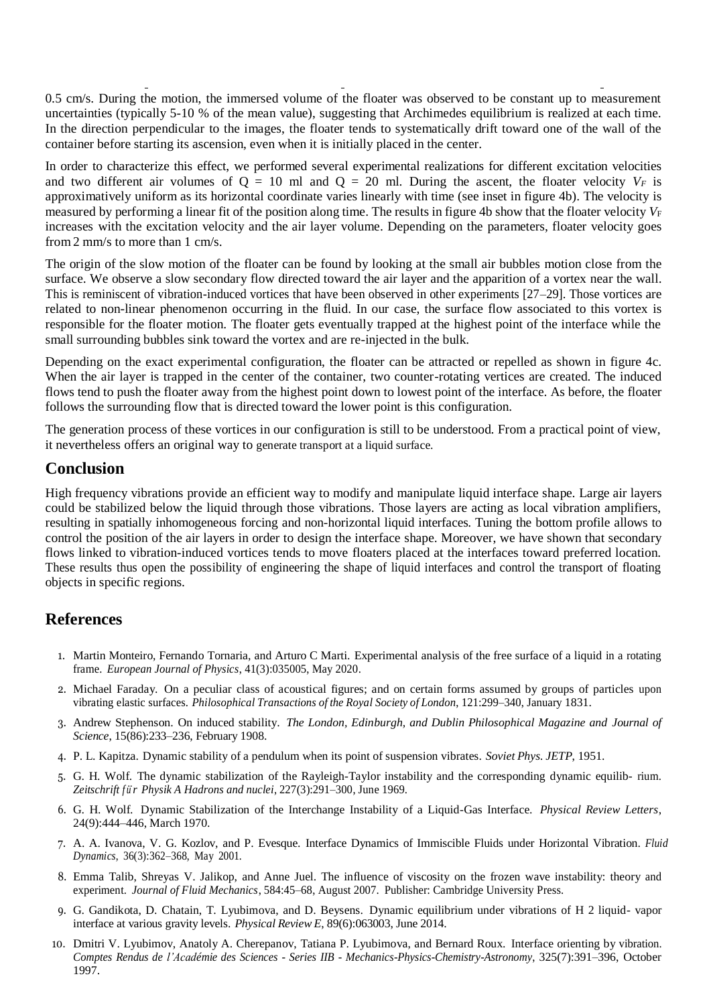0*.*5 cm/s. During the motion, the immersed volume of the floater was observed to be constant up to measurement uncertainties (typically 5-10 % of the mean value), suggesting that Archimedes equilibrium is realized at each time. In the direction perpendicular to the images, the floater tends to systematically drift toward one of the wall of the container before starting its ascension, even when it is initially placed in the center.

In order to characterize this effect, we performed several experimental realizations for different excitation velocities and two different air volumes of  $Q = 10$  ml and  $Q = 20$  ml. During the ascent, the floater velocity  $V_F$  is approximatively uniform as its horizontal coordinate varies linearly with time (see inset in figure 4b). The velocity is measured by performing a linear fit of the position along time. The results in figure 4b show that the floater velocity  $V_F$ increases with the excitation velocity and the air layer volume. Depending on the parameters, floater velocity goes from 2 mm/s to more than 1 cm/s.

The origin of the slow motion of the floater can be found by looking at the small air bubbles motion close from the surface. We observe a slow secondary flow directed toward the air layer and the apparition of a vortex near the wall. This is reminiscent of vibration-induced vortices that have been observed in other experiments [27–29]. Those vortices are related to non-linear phenomenon occurring in the fluid. In our case, the surface flow associated to this vortex is responsible for the floater motion. The floater gets eventually trapped at the highest point of the interface while the small surrounding bubbles sink toward the vortex and are re-injected in the bulk.

Depending on the exact experimental configuration, the floater can be attracted or repelled as shown in figure 4c. When the air layer is trapped in the center of the container, two counter-rotating vertices are created. The induced flows tend to push the floater away from the highest point down to lowest point of the interface. As before, the floater follows the surrounding flow that is directed toward the lower point is this configuration.

The generation process of these vortices in our configuration is still to be understood. From a practical point of view, it nevertheless offers an original way to generate transport at a liquid surface.

### **Conclusion**

High frequency vibrations provide an efficient way to modify and manipulate liquid interface shape. Large air layers could be stabilized below the liquid through those vibrations. Those layers are acting as local vibration amplifiers, resulting in spatially inhomogeneous forcing and non-horizontal liquid interfaces. Tuning the bottom profile allows to control the position of the air layers in order to design the interface shape. Moreover, we have shown that secondary flows linked to vibration-induced vortices tends to move floaters placed at the interfaces toward preferred location. These results thus open the possibility of engineering the shape of liquid interfaces and control the transport of floating objects in specific regions.

#### **References**

- 1. Martin Monteiro, Fernando Tornaria, and Arturo C Marti. Experimental analysis of the free surface of a liquid in a rotating frame. *European Journal of Physics*, 41(3):035005, May 2020.
- 2. Michael Faraday. On a peculiar class of acoustical figures; and on certain forms assumed by groups of particles upon vibrating elastic surfaces. *Philosophical Transactions ofthe Royal Society of London*, 121:299–340, January 1831.
- 3. Andrew Stephenson. On induced stability. *The London, Edinburgh, and Dublin Philosophical Magazine and Journal of Science*, 15(86):233–236, February 1908.
- 4. P. L. Kapitza. Dynamic stability of a pendulum when its point of suspension vibrates. *Soviet Phys. JETP*, 1951.
- 5. G. H. Wolf. The dynamic stabilization of the Rayleigh-Taylor instability and the corresponding dynamic equilib- rium. *Zeitschrift f u¨r Physik A Hadrons and nuclei*, 227(3):291–300, June 1969.
- 6. G. H. Wolf. Dynamic Stabilization of the Interchange Instability of a Liquid-Gas Interface. *Physical Review Letters*, 24(9):444–446, March 1970.
- 7. A. A. Ivanova, V. G. Kozlov, and P. Evesque. Interface Dynamics of Immiscible Fluids under Horizontal Vibration. *Fluid Dynamics*, 36(3):362–368, May 2001.
- 8. Emma Talib, Shreyas V. Jalikop, and Anne Juel. The influence of viscosity on the frozen wave instability: theory and experiment. *Journal of Fluid Mechanics*, 584:45–68, August 2007. Publisher: Cambridge University Press.
- 9. G. Gandikota, D. Chatain, T. Lyubimova, and D. Beysens. Dynamic equilibrium under vibrations of H 2 liquid- vapor interface at various gravity levels. *Physical Review E*, 89(6):063003, June 2014.
- 10. Dmitri V. Lyubimov, Anatoly A. Cherepanov, Tatiana P. Lyubimova, and Bernard Roux. Interface orienting by vibration. *Comptes Rendus de l'Académie des Sciences - Series IIB - Mechanics-Physics-Chemistry-Astronomy*, 325(7):391–396, October 1997.